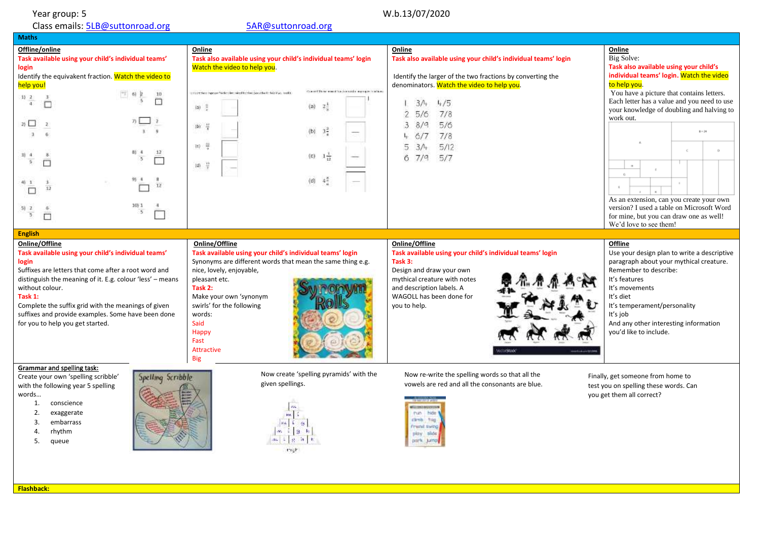Year group: 5<br>Class emails: <u>5LB@suttonroad.org</u> example and the state of the state of the state of the state of the state of t Class emails: **5LB@suttonroad.org** 

| <b>Maths</b>                                                                                                                                                                                                                                                                                                                                                                       |                                                                                                                                                                                                                                                                                                                                                              |                                                                                                                                                                                                                                                                                            |                                                                                                                                                                                                                                                                                                                                                                                                                                                             |
|------------------------------------------------------------------------------------------------------------------------------------------------------------------------------------------------------------------------------------------------------------------------------------------------------------------------------------------------------------------------------------|--------------------------------------------------------------------------------------------------------------------------------------------------------------------------------------------------------------------------------------------------------------------------------------------------------------------------------------------------------------|--------------------------------------------------------------------------------------------------------------------------------------------------------------------------------------------------------------------------------------------------------------------------------------------|-------------------------------------------------------------------------------------------------------------------------------------------------------------------------------------------------------------------------------------------------------------------------------------------------------------------------------------------------------------------------------------------------------------------------------------------------------------|
| Offline/online<br>Task available using your child's individual teams'<br>login<br>Identify the equivakent fraction. Watch the video to<br>help you!<br>10<br>1) 2<br>n<br>$\overline{2}$ $\overline{1}$<br>$81 - 4$<br>12<br>3<br>⊓<br>91 4<br>$\overline{u}$<br>12<br>$100-1$<br>-5<br>5<br>П                                                                                     | Online<br>Task also available using your child's individual teams' login<br>Watch the video to help you.<br>Questi Dose ministrazione dalla manageri rialiano<br>consistential impound for designs intend by when (see ablants their king), and it<br>28<br>(a)<br>10 章<br>(b) =<br>$3\frac{3}{2}$<br>(b)<br>10 号<br>(c)<br>$10 - \frac{13}{4}$<br>43<br>(d) | Online<br>Task also available using your child's individual teams' login<br>Identify the larger of the two fractions by converting the<br>denominators. Watch the video to help you.<br>4/5<br>3/4<br>7/8<br>5/6<br>5/6<br>3<br>8/9<br>7/8<br>6/7<br>5/12<br>3/4<br>5.<br>7/9<br>5/7<br>6. | Online<br>Big Solve:<br>Task also available using your child's<br>individual teams' login. Watch the video<br>to help you.<br>You have a picture that contains letters.<br>Each letter has a value and you need to use<br>your knowledge of doubling and halving to<br>work out.<br>$8 - 24$<br>$\circ$<br>$\mathbf{H}$<br>As an extension, can you create your own<br>version? I used a table on Microsoft Word<br>for mine, but you can draw one as well! |
| <b>English</b>                                                                                                                                                                                                                                                                                                                                                                     |                                                                                                                                                                                                                                                                                                                                                              |                                                                                                                                                                                                                                                                                            | We'd love to see them!                                                                                                                                                                                                                                                                                                                                                                                                                                      |
| Online/Offline<br>Task available using your child's individual teams'<br>login<br>Suffixes are letters that come after a root word and<br>distinguish the meaning of it. E.g. colour 'less' - means<br>without colour.<br>Task 1:<br>Complete the suffix grid with the meanings of given<br>suffixes and provide examples. Some have been done<br>for you to help you get started. | Online/Offline<br>Task available using your child's individual teams' login<br>Synonyms are different words that mean the same thing e.g.<br>nice, lovely, enjoyable,<br>pleasant etc.<br>Task 2:<br>Make your own 'synonym<br>swirls' for the following<br>words:<br>Said<br>Happy<br>Fast<br>Attractive<br><b>Big</b>                                      | Online/Offline<br>Task available using your child's individual teams' login<br>Task 3:<br>Design and draw your own<br>mythical creature with notes<br>and description labels. A<br>WAGOLL has been done for<br>you to help.<br><b>CONSIDER</b>                                             | Offline<br>Use your design plan to write a descriptive<br>paragraph about your mythical creature.<br>Remember to describe:<br>It's features<br>It's movements<br>It's diet<br>It's temperament/personality<br>It's job<br>And any other interesting information<br>you'd like to include.                                                                                                                                                                   |
| Grammar and spelling task:<br>Spelling Scribble<br>Create your own 'spelling scribble'<br>with the following year 5 spelling<br>words<br>conscience<br>1.<br>2.<br>exaggerate<br>embarrass<br>3.<br>rhythm<br>4.<br>5.<br>queue                                                                                                                                                    | Now create 'spelling pyramids' with the<br>given spellings.                                                                                                                                                                                                                                                                                                  | Now re-write the spelling words so that all the<br>vowels are red and all the consonants are blue.<br><b>When the American control</b><br>man I hide t<br>climb. freg.<br><b>Prisné swing</b><br>play slide<br>park Jump                                                                   | Finally, get someone from home to<br>test you on spelling these words. Can<br>you get them all correct?                                                                                                                                                                                                                                                                                                                                                     |

**Flashback:**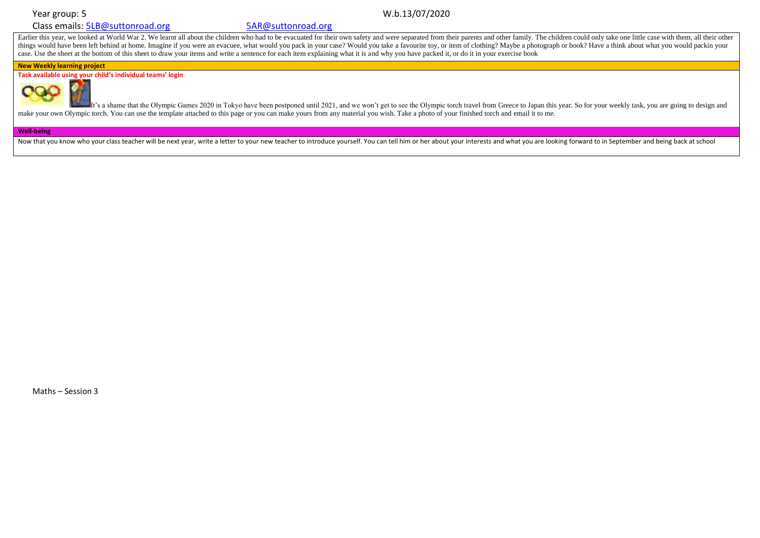## Class emails: [5LB@suttonroad.org](mailto:5LB@suttonroad.org) [5AR@suttonroad.org](mailto:5AR@suttonroad.org)

# Year group: 5 W.b.13/07/2020

Earlier this year, we looked at World War 2. We learnt all about the children who had to be evacuated for their own safety and were separated from their parents and other family. The children could only take one little cas things would have been left behind at home. Imagine if you were an evacuee, what would you pack in your case? Would you take a favourite toy, or item of clothing? Maybe a photograph or book? Have a think about what you wou case. Use the sheet at the bottom of this sheet to draw your items and write a sentence for each item explaining what it is and why you have packed it, or do it in your exercise book

## **New Weekly learning project**

**Task available using your child's individual teams' login**



It's a shame that the Olympic Games 2020 in Tokyo have been postponed until 2021, and we won't get to see the Olympic torch travel from Greece to Japan this year. So for your weekly task, you are going to design and make your own Olympic torch. You can use the template attached to this page or you can make yours from any material you wish. Take a photo of your finished torch and email it to me.

## **Well-being**

Now that you know who your class teacher will be next year, write a letter to your new teacher to introduce yourself. You can tell him or her about your interests and what you are looking forward to in September and being

Maths – Session 3